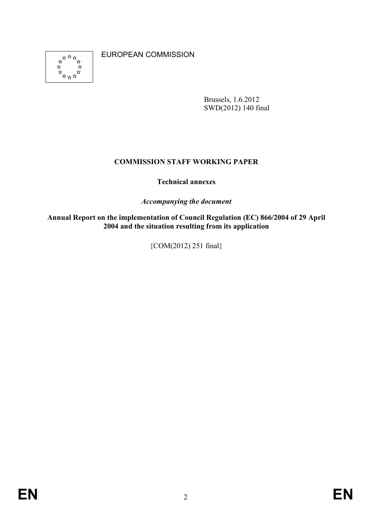

EUROPEAN COMMISSION

Brussels, 1.6.2012 SWD(2012) 140 final

## **COMMISSION STAFF WORKING PAPER**

## **Technical annexes**

*Accompanying the document* 

**Annual Report on the implementation of Council Regulation (EC) 866/2004 of 29 April 2004 and the situation resulting from its application** 

{COM(2012) 251 final}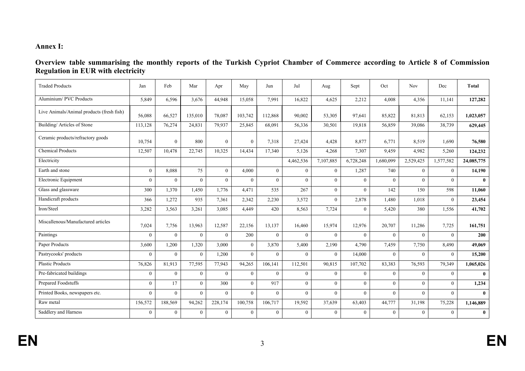## **Annex I:**

| Overview table summarising the monthly reports of the Turkish Cypriot Chamber of Commerce according to Article 8 of Commission |  |  |  |  |  |
|--------------------------------------------------------------------------------------------------------------------------------|--|--|--|--|--|
| <b>Regulation in EUR with electricity</b>                                                                                      |  |  |  |  |  |

| <b>Traded Products</b>                    | Jan            | Feb            | Mar            | Apr            | May      | Jun            | Jul          | Aug            | Sept           | Oct       | <b>Nov</b>     | Dec       | Total        |
|-------------------------------------------|----------------|----------------|----------------|----------------|----------|----------------|--------------|----------------|----------------|-----------|----------------|-----------|--------------|
| Aluminium/PVC Products                    | 5,849          | 6,596          | 3,676          | 44,948         | 15,058   | 7.991          | 16,822       | 4,625          | 2,212          | 4,008     | 4,356          | 11,141    | 127,282      |
| Live Animals/Animal products (fresh fish) | 56,088         | 66,527         | 135,010        | 78,087         | 103,742  | 112,868        | 90,002       | 53,305         | 97,641         | 85,822    | 81,813         | 62,153    | 1,023,057    |
| Building/Articles of Stone                | 113,128        | 76,274         | 24,831         | 79,937         | 25,845   | 68,091         | 56,336       | 30,501         | 19,818         | 56,859    | 39,086         | 38,739    | 629,445      |
| Ceramic products/refractory goods         | 10,754         | $\theta$       | 800            | $\Omega$       | $\Omega$ | 7.318          | 27,424       | 4,428          | 8,877          | 6,771     | 8,519          | 1,690     | 76,580       |
| <b>Chemical Products</b>                  | 12,507         | 10,478         | 22,745         | 10,325         | 14,434   | 17,340         | 5,126        | 4,268          | 7,307          | 9,459     | 4,982          | 5,260     | 124,232      |
| Electricity                               |                |                |                |                |          |                | 4,462,536    | 7,107,885      | 6,728,248      | 1,680,099 | 2,529,425      | 1,577,582 | 24,085,775   |
| Earth and stone                           | $\theta$       | 8,088          | 75             | $\theta$       | 4,000    | $\theta$       | $\theta$     | $\overline{0}$ | 1,287          | 740       | $\overline{0}$ | $\theta$  | 14,190       |
| Electronic Equipment                      | $\Omega$       | $\theta$       | $\theta$       | $\theta$       | $\theta$ | $\Omega$       | $\theta$     | $\mathbf{0}$   | $\theta$       | $\Omega$  | $\Omega$       | $\Omega$  | $\mathbf{0}$ |
| Glass and glassware                       | 300            | 1.370          | 1.450          | 1.776          | 4,471    | 535            | 267          | $\mathbf{0}$   | $\overline{0}$ | 142       | 150            | 598       | 11.060       |
| Handicraft products                       | 366            | 1,272          | 935            | 7,361          | 2.342    | 2.230          | 3,572        | $\mathbf{0}$   | 2,878          | 1.480     | 1.018          | $\Omega$  | 23,454       |
| Iron/Steel                                | 3,282          | 3,563          | 3,261          | 3,085          | 4,449    | 420            | 8,563        | 7,724          | $\overline{0}$ | 5,420     | 380            | 1,556     | 41,702       |
| Miscallenous/Manufactured articles        | 7,024          | 7,756          | 13,963         | 12,587         | 22,156   | 13,137         | 16,460       | 15,974         | 12,976         | 20,707    | 11,286         | 7,725     | 161,751      |
| Paintings                                 | $\Omega$       | $\theta$       | $\theta$       | $\theta$       | 200      | $\theta$       | $\theta$     | $\theta$       | $\theta$       | $\Omega$  | $\theta$       | $\theta$  | 200          |
| Paper Products                            | 3,600          | 1,200          | 1,320          | 3,000          | $\theta$ | 3,870          | 5,400        | 2,190          | 4,790          | 7,459     | 7,750          | 8,490     | 49,069       |
| Pastrycooks' products                     | $\Omega$       | $\Omega$       | $\theta$       | 1,200          | $\Omega$ | $\Omega$       | $\Omega$     | $\theta$       | 14,000         | $\Omega$  | $\theta$       | $\Omega$  | 15,200       |
| <b>Plastic Products</b>                   | 76,826         | 81,913         | 77,595         | 77,943         | 94,265   | 106,141        | 112,501      | 90,815         | 107,702        | 83,383    | 76,593         | 79,349    | 1,065,026    |
| Pre-fabricated buildings                  | $\theta$       | $\theta$       | $\theta$       | $\theta$       | $\theta$ | $\Omega$       | $\theta$     | $\theta$       | $\overline{0}$ | $\Omega$  | $\overline{0}$ | $\theta$  | $\mathbf{0}$ |
| <b>Prepared Foodstuffs</b>                | $\overline{0}$ | 17             | $\theta$       | 300            | $\theta$ | 917            | $\theta$     | $\mathbf{0}$   | $\overline{0}$ | $\theta$  | $\overline{0}$ | $\theta$  | 1,234        |
| Printed Books, newspapers etc.            | $\theta$       | $\theta$       | $\theta$       | $\theta$       | $\theta$ | $\theta$       | $\theta$     | $\mathbf{0}$   | $\overline{0}$ | $\Omega$  | $\theta$       | $\theta$  | $\mathbf{0}$ |
| Raw metal                                 | 156,572        | 188,569        | 94,262         | 228,174        | 100,758  | 106,717        | 19,592       | 37,639         | 63,403         | 44,777    | 31,198         | 75,228    | 1,146,889    |
| Saddlery and Harness                      | $\overline{0}$ | $\overline{0}$ | $\overline{0}$ | $\overline{0}$ | $\theta$ | $\overline{0}$ | $\mathbf{0}$ | $\mathbf{0}$   | $\overline{0}$ | $\theta$  | $\overline{0}$ | $\theta$  | $\bf{0}$     |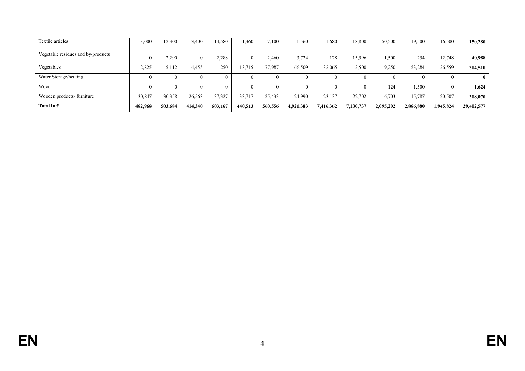| Textile articles                   | 3,000   | 12,300   | 3,400   | 14,580  | .360     | 7.100   | .560      | .680      | 18,800    | 50,500    | 19.500    | 16,500    | 150,280    |
|------------------------------------|---------|----------|---------|---------|----------|---------|-----------|-----------|-----------|-----------|-----------|-----------|------------|
| Vegetable residues and by-products |         | 2,290    |         | 2,288   | $\theta$ | 2.460   | 3,724     | 128       | 15,596    | 1,500     | 254       | 12,748    | 40,988     |
| Vegetables                         | 2,825   | 5,112    | 4,455   | 250     | 13,715   | 77.987  | 66,509    | 32,065    | 2,500     | 19,250    | 53,284    | 26,559    | 304,510    |
| Water Storage/heating              |         | $\Omega$ |         |         | $\Omega$ |         |           | $\Omega$  |           |           |           |           | 0          |
| Wood                               |         | 0        |         |         |          |         |           |           |           | 124       | .500      |           | 1,624      |
| Wooden products/furniture          | 30,847  | 30,358   | 26,563  | 37,327  | 33,717   | 25,433  | 24,990    | 23,137    | 22.702    | 16,703    | 15,787    | 20,507    | 308,070    |
| Total in $\epsilon$                | 482,968 | 503,684  | 414,340 | 603.167 | 440.513  | 560,556 | 4,921,383 | 7,416,362 | 7,130,737 | 2,095,202 | 2,886,880 | 1,945,824 | 29,402,577 |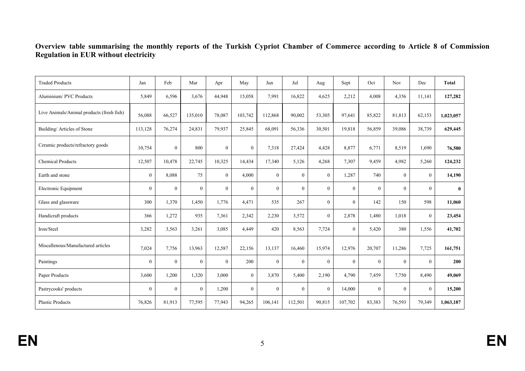#### **Overview table summarising the monthly reports of the Turkish Cypriot Chamber of Commerce according to Article 8 of Commission Regulation in EUR without electricity**

| <b>Traded Products</b>                    | Jan            | Feb              | Mar            | Apr            | May            | Jun              | Jul            | Aug            | Sept           | Oct            | <b>Nov</b>     | Dec          | Total        |
|-------------------------------------------|----------------|------------------|----------------|----------------|----------------|------------------|----------------|----------------|----------------|----------------|----------------|--------------|--------------|
| Aluminium/PVC Products                    | 5,849          | 6,596            | 3,676          | 44,948         | 15,058         | 7,991            | 16,822         | 4,625          | 2,212          | 4,008          | 4,356          | 11.141       | 127,282      |
| Live Animals/Animal products (fresh fish) | 56,088         | 66,527           | 135,010        | 78,087         | 103,742        | 112,868          | 90,002         | 53,305         | 97,641         | 85,822         | 81,813         | 62,153       | 1,023,057    |
| Building/Articles of Stone                | 113,128        | 76,274           | 24,831         | 79,937         | 25,845         | 68,091           | 56,336         | 30,501         | 19,818         | 56,859         | 39,086         | 38,739       | 629,445      |
| Ceramic products/refractory goods         | 10,754         | $\mathbf{0}$     | 800            | $\overline{0}$ | $\mathbf{0}$   | 7,318            | 27,424         | 4,428          | 8,877          | 6,771          | 8,519          | 1,690        | 76,580       |
| <b>Chemical Products</b>                  | 12,507         | 10,478           | 22,745         | 10,325         | 14,434         | 17,340           | 5,126          | 4,268          | 7,307          | 9,459          | 4,982          | 5,260        | 124,232      |
| Earth and stone                           | $\overline{0}$ | 8,088            | 75             | $\overline{0}$ | 4,000          | $\overline{0}$   | $\overline{0}$ | $\overline{0}$ | 1,287          | 740            | $\overline{0}$ | $\mathbf{0}$ | 14,190       |
| Electronic Equipment                      | $\mathbf{0}$   | $\mathbf{0}$     | $\Omega$       | $\mathbf{0}$   | $\mathbf{0}$   | $\mathbf{0}$     | $\theta$       | $\overline{0}$ | $\overline{0}$ | $\theta$       | $\mathbf{0}$   | $\theta$     | $\mathbf{0}$ |
| Glass and glassware                       | 300            | 1,370            | 1,450          | 1,776          | 4,471          | 535              | 267            | $\Omega$       | $\overline{0}$ | 142            | 150            | 598          | 11,060       |
| Handicraft products                       | 366            | 1,272            | 935            | 7,361          | 2,342          | 2,230            | 3,572          | $\theta$       | 2,878          | 1,480          | 1,018          | $\theta$     | 23,454       |
| Iron/Steel                                | 3,282          | 3,563            | 3,261          | 3,085          | 4,449          | 420              | 8,563          | 7,724          | $\overline{0}$ | 5,420          | 380            | 1,556        | 41,702       |
| Miscallenous/Manufactured articles        | 7,024          | 7,756            | 13,963         | 12,587         | 22,156         | 13,137           | 16,460         | 15,974         | 12,976         | 20,707         | 11,286         | 7,725        | 161,751      |
| Paintings                                 | $\mathbf{0}$   | $\boldsymbol{0}$ | $\Omega$       | $\theta$       | 200            | $\mathbf{0}$     | $\overline{0}$ | $\theta$       | $\overline{0}$ | $\theta$       | $\mathbf{0}$   | $\Omega$     | 200          |
| Paper Products                            | 3,600          | 1,200            | 1,320          | 3,000          | $\overline{0}$ | 3,870            | 5,400          | 2,190          | 4,790          | 7,459          | 7,750          | 8,490        | 49,069       |
| Pastrycooks' products                     | $\mathbf{0}$   | $\boldsymbol{0}$ | $\overline{0}$ | 1,200          | $\mathbf{0}$   | $\boldsymbol{0}$ | $\overline{0}$ | $\overline{0}$ | 14,000         | $\overline{0}$ | $\mathbf{0}$   | $\theta$     | 15,200       |
| <b>Plastic Products</b>                   | 76,826         | 81,913           | 77,595         | 77,943         | 94,265         | 106,141          | 112,501        | 90,815         | 107,702        | 83,383         | 76,593         | 79,349       | 1,063,187    |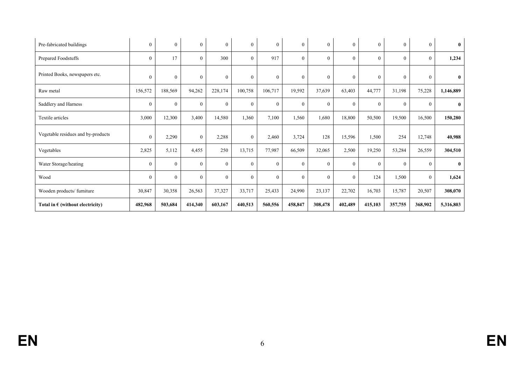| Pre-fabricated buildings                  | $\boldsymbol{0}$ | $\mathbf{0}$     | $\overline{0}$ | $\overline{0}$ | $\mathbf{0}$   | $\mathbf{0}$   | $\mathbf{0}$ | $\mathbf{0}$ | $\overline{0}$ | $\boldsymbol{0}$ | $\mathbf{0}$ | $\mathbf{0}$ | $\bf{0}$     |
|-------------------------------------------|------------------|------------------|----------------|----------------|----------------|----------------|--------------|--------------|----------------|------------------|--------------|--------------|--------------|
| Prepared Foodstuffs                       | $\theta$         | 17               | $\Omega$       | 300            | $\theta$       | 917            | $\theta$     | $\Omega$     | $\theta$       | $\theta$         | $\mathbf{0}$ | $\theta$     | 1,234        |
| Printed Books, newspapers etc.            | $\mathbf{0}$     | $\boldsymbol{0}$ | $\mathbf{0}$   | $\theta$       | $\mathbf{0}$   | $\mathbf{0}$   | $\mathbf{0}$ | $\mathbf{0}$ | $\mathbf{0}$   | $\mathbf{0}$     | $\mathbf{0}$ | $\theta$     | $\bf{0}$     |
| Raw metal                                 | 156,572          | 188,569          | 94,262         | 228,174        | 100,758        | 106,717        | 19,592       | 37,639       | 63,403         | 44,777           | 31,198       | 75,228       | 1,146,889    |
| Saddlery and Harness                      | $\mathbf{0}$     | $\boldsymbol{0}$ | $\overline{0}$ | $\mathbf{0}$   | $\overline{0}$ | $\mathbf{0}$   | $\mathbf{0}$ | $\mathbf{0}$ | $\overline{0}$ | $\mathbf{0}$     | $\mathbf{0}$ | $\theta$     | $\bf{0}$     |
| Textile articles                          | 3,000            | 12,300           | 3,400          | 14,580         | 1,360          | 7,100          | 1,560        | 1,680        | 18,800         | 50,500           | 19,500       | 16,500       | 150,280      |
| Vegetable residues and by-products        | $\mathbf{0}$     | 2,290            | $\overline{0}$ | 2,288          | $\mathbf{0}$   | 2,460          | 3,724        | 128          | 15,596         | 1,500            | 254          | 12,748       | 40,988       |
| Vegetables                                | 2,825            | 5,112            | 4,455          | 250            | 13,715         | 77,987         | 66,509       | 32,065       | 2,500          | 19,250           | 53,284       | 26,559       | 304,510      |
| Water Storage/heating                     | $\theta$         | $\mathbf{0}$     | $\theta$       | $\theta$       | $\theta$       | $\overline{0}$ | $\theta$     | $\Omega$     | $\Omega$       | $\theta$         | $\theta$     | $\theta$     | $\mathbf{0}$ |
| Wood                                      | $\mathbf{0}$     | $\mathbf{0}$     | $\theta$       | $\theta$       | $\mathbf{0}$   | $\mathbf{0}$   | $\mathbf{0}$ | $\mathbf{0}$ | $\overline{0}$ | 124              | 1,500        | $\theta$     | 1,624        |
| Wooden products/furniture                 | 30,847           | 30,358           | 26,563         | 37,327         | 33,717         | 25,433         | 24,990       | 23,137       | 22,702         | 16,703           | 15,787       | 20,507       | 308,070      |
| Total in $\epsilon$ (without electricity) | 482,968          | 503,684          | 414,340        | 603,167        | 440,513        | 560,556        | 458,847      | 308,478      | 402,489        | 415,103          | 357,755      | 368,902      | 5,316,803    |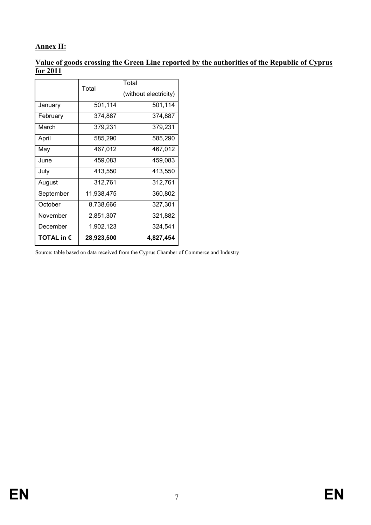## **Annex II:**

## **Value of goods crossing the Green Line reported by the authorities of the Republic of Cyprus for 2011**

|                     | Total      | Total                 |  |  |  |  |
|---------------------|------------|-----------------------|--|--|--|--|
|                     |            | (without electricity) |  |  |  |  |
| January             | 501,114    | 501,114               |  |  |  |  |
| February            | 374,887    | 374,887               |  |  |  |  |
| March               | 379,231    | 379,231               |  |  |  |  |
| April               | 585,290    | 585,290               |  |  |  |  |
| May                 | 467,012    | 467,012               |  |  |  |  |
| June                | 459,083    | 459,083               |  |  |  |  |
| July                | 413,550    | 413,550               |  |  |  |  |
| August              | 312,761    | 312,761               |  |  |  |  |
| September           | 11,938,475 | 360,802               |  |  |  |  |
| October             | 8,738,666  | 327,301               |  |  |  |  |
| November            | 2,851,307  | 321,882               |  |  |  |  |
| December            | 1,902,123  | 324,541               |  |  |  |  |
| TOTAL in $\epsilon$ | 28,923,500 | 4,827,454             |  |  |  |  |

Source: table based on data received from the Cyprus Chamber of Commerce and Industry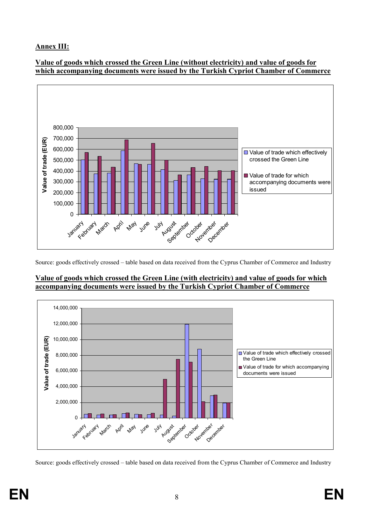## **Annex III:**

#### **Value of goods which crossed the Green Line (without electricity) and value of goods for which accompanying documents were issued by the Turkish Cypriot Chamber of Commerce**



Source: goods effectively crossed – table based on data received from the Cyprus Chamber of Commerce and Industry

#### **Value of goods which crossed the Green Line (with electricity) and value of goods for which accompanying documents were issued by the Turkish Cypriot Chamber of Commerce**



Source: goods effectively crossed – table based on data received from the Cyprus Chamber of Commerce and Industry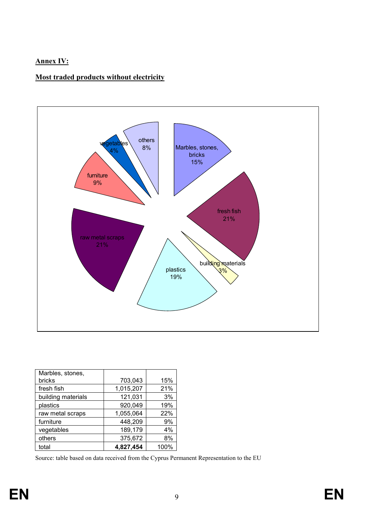## **Annex IV:**

## **Most traded products without electricity**



| Marbles, stones,   |           |      |
|--------------------|-----------|------|
| bricks             | 703,043   | 15%  |
| fresh fish         | 1,015,207 | 21%  |
| building materials | 121,031   | 3%   |
| plastics           | 920,049   | 19%  |
| raw metal scraps   | 1,055,064 | 22%  |
| furniture          | 448,209   | 9%   |
| vegetables         | 189,179   | 4%   |
| others             | 375,672   | 8%   |
| total              | 4,827,454 | 100% |

Source: table based on data received from the Cyprus Permanent Representation to the EU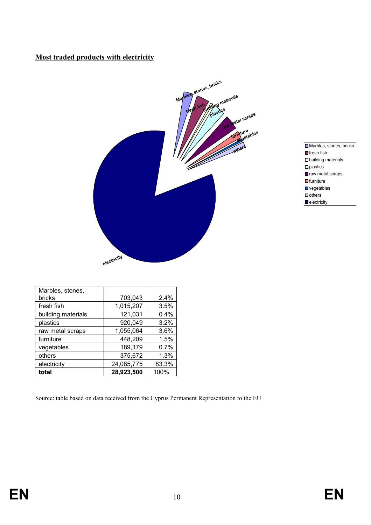## **Most traded products with electricity**



- Marbles, stones, bricks  $\Box$  fresh fish  $\Box$ building materials  $\Box$  plastics **P** raw metal scraps  $\Box$ furniture  $\Box$  vegetables  $\overline{\square}$  others
- $\vert$  electricity

| Marbles, stones,<br>bricks | 703,043    | 2.4%  |
|----------------------------|------------|-------|
| fresh fish                 | 1,015,207  | 3.5%  |
| building materials         | 121,031    | 0.4%  |
| plastics                   | 920,049    | 3.2%  |
| raw metal scraps           | 1,055,064  | 3.6%  |
| furniture                  | 448,209    | 1.5%  |
| vegetables                 | 189,179    | 0.7%  |
| others                     | 375,672    | 1.3%  |
| electricity                | 24,085,775 | 83.3% |
| total                      | 28,923,500 | 100%  |

Source: table based on data received from the Cyprus Permanent Representation to the EU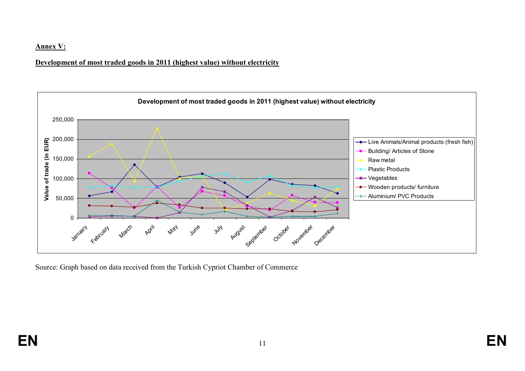#### **Annex V:**

## **Development of most traded goods in 2011 (highest value) without electricity**



Source: Graph based on data received from the Turkish Cypriot Chamber of Commerce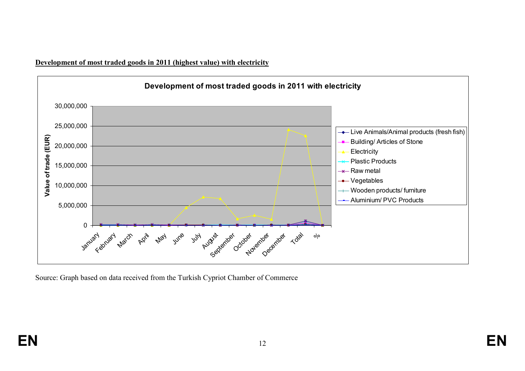**Development of most traded goods in 2011 (highest value) with electricity**



Source: Graph based on data received from the Turkish Cypriot Chamber of Commerce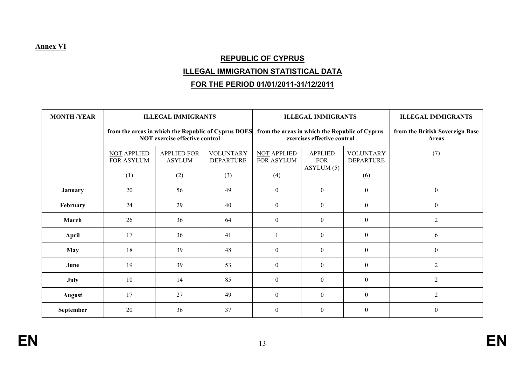### **Annex VI**

# **REPUBLIC OF CYPRUS**

## **ILLEGAL IMMIGRATION STATISTICAL DATA**

# **FOR THE PERIOD 01/01/2011-31/12/2011**

| <b>MONTH /YEAR</b> |                                                     | <b>ILLEGAL IMMIGRANTS</b>             |                                      |                                                | <b>ILLEGAL IMMIGRANTS</b>                 |                                      | <b>ILLEGAL IMMIGRANTS</b>                |
|--------------------|-----------------------------------------------------|---------------------------------------|--------------------------------------|------------------------------------------------|-------------------------------------------|--------------------------------------|------------------------------------------|
|                    | from the areas in which the Republic of Cyprus DOES | <b>NOT exercise effective control</b> |                                      | from the areas in which the Republic of Cyprus | exercises effective control               |                                      | from the British Sovereign Base<br>Areas |
|                    | NOT APPLIED<br>FOR ASYLUM                           | <b>APPLIED FOR</b><br><b>ASYLUM</b>   | <b>VOLUNTARY</b><br><b>DEPARTURE</b> | NOT APPLIED<br>FOR ASYLUM                      | <b>APPLIED</b><br><b>FOR</b><br>ASYLUM(5) | <b>VOLUNTARY</b><br><b>DEPARTURE</b> | (7)                                      |
|                    | (1)                                                 | (2)                                   | (3)                                  | (4)                                            |                                           | (6)                                  |                                          |
| <b>January</b>     | 20                                                  | 56                                    | 49                                   | $\theta$                                       | $\boldsymbol{0}$                          | $\boldsymbol{0}$                     | $\theta$                                 |
| February           | 24                                                  | 29                                    | 40                                   | $\overline{0}$                                 | $\overline{0}$                            | $\overline{0}$                       | $\theta$                                 |
| March              | 26                                                  | 36                                    | 64                                   | $\overline{0}$                                 | $\boldsymbol{0}$                          | $\boldsymbol{0}$                     | $\overline{2}$                           |
| April              | 17                                                  | 36                                    | 41                                   |                                                | $\boldsymbol{0}$                          | $\overline{0}$                       | 6                                        |
| <b>May</b>         | 18                                                  | 39                                    | 48                                   | $\theta$                                       | $\boldsymbol{0}$                          | $\theta$                             | $\theta$                                 |
| June               | 19                                                  | 39                                    | 53                                   | $\overline{0}$                                 | $\boldsymbol{0}$                          | $\theta$                             | $\overline{2}$                           |
| July               | 10                                                  | 14                                    | 85                                   | $\mathbf{0}$                                   | $\boldsymbol{0}$                          | $\overline{0}$                       | $\overline{2}$                           |
| <b>August</b>      | 17                                                  | 27                                    | 49                                   | $\boldsymbol{0}$                               | $\boldsymbol{0}$                          | $\boldsymbol{0}$                     | $\overline{2}$                           |
| September          | 20                                                  | 36                                    | 37                                   | $\theta$                                       | $\boldsymbol{0}$                          | $\theta$                             | $\theta$                                 |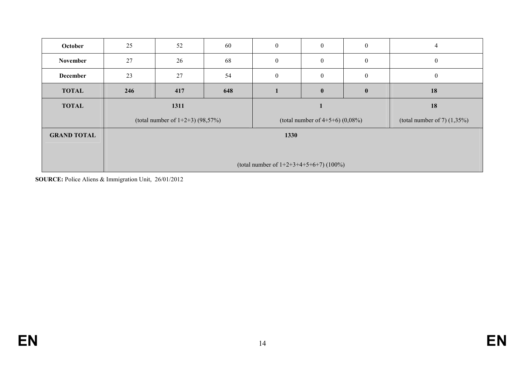| October            | 25                                        | 52                                  | 60  | $\mathbf{0}$ | $\mathbf{0}$                          | $\mathbf{0}$     | $\overline{4}$                 |  |  |
|--------------------|-------------------------------------------|-------------------------------------|-----|--------------|---------------------------------------|------------------|--------------------------------|--|--|
| November           | 27                                        | 26                                  | 68  | $\mathbf{0}$ | $\mathbf{0}$                          | $\mathbf{0}$     | $\boldsymbol{0}$               |  |  |
| <b>December</b>    | 23                                        | 27                                  | 54  | $\theta$     | $\boldsymbol{0}$                      | $\boldsymbol{0}$ | $\boldsymbol{0}$               |  |  |
| <b>TOTAL</b>       | 246                                       | 417                                 | 648 |              | $\bf{0}$                              | $\mathbf{0}$     | 18                             |  |  |
| <b>TOTAL</b>       |                                           | 1311                                |     |              |                                       | 18               |                                |  |  |
|                    |                                           | (total number of $1+2+3$ ) (98,57%) |     |              | (total number of $4+5+6$ ) $(0,08\%)$ |                  | (total number of 7) $(1,35\%)$ |  |  |
| <b>GRAND TOTAL</b> |                                           |                                     |     | 1330         |                                       |                  |                                |  |  |
|                    |                                           |                                     |     |              |                                       |                  |                                |  |  |
|                    | (total number of $1+2+3+4+5+6+7$ ) (100%) |                                     |     |              |                                       |                  |                                |  |  |

**SOURCE:** Police Aliens & Immigration Unit, 26/01/2012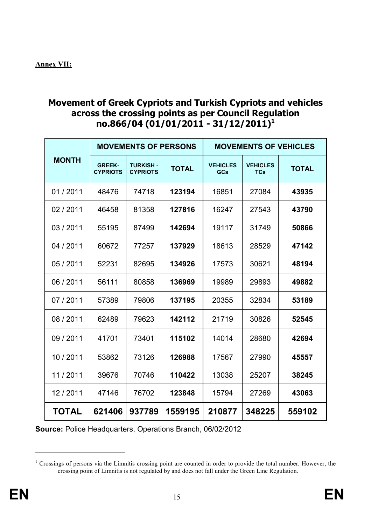## **Movement of Greek Cypriots and Turkish Cypriots and vehicles across the crossing points as per Council Regulation no.866/04 (01/01/2011 - 31/12/2011)<sup>1</sup>**

|              |                                  | <b>MOVEMENTS OF PERSONS</b>        |              |                               |                               | <b>MOVEMENTS OF VEHICLES</b> |
|--------------|----------------------------------|------------------------------------|--------------|-------------------------------|-------------------------------|------------------------------|
| <b>MONTH</b> | <b>GREEK-</b><br><b>CYPRIOTS</b> | <b>TURKISH-</b><br><b>CYPRIOTS</b> | <b>TOTAL</b> | <b>VEHICLES</b><br><b>GCs</b> | <b>VEHICLES</b><br><b>TCs</b> | <b>TOTAL</b>                 |
| 01/2011      | 48476                            | 74718                              | 123194       | 16851                         | 27084                         | 43935                        |
| 02/2011      | 46458                            | 81358                              | 127816       | 16247                         | 27543                         | 43790                        |
| 03/2011      | 55195                            | 87499                              | 142694       | 19117                         | 31749                         | 50866                        |
| 04 / 2011    | 60672                            | 77257                              | 137929       | 18613                         | 28529                         | 47142                        |
| 05 / 2011    | 52231                            | 82695                              | 134926       | 17573                         | 30621                         | 48194                        |
| 06 / 2011    | 56111                            | 80858                              | 136969       | 19989                         | 29893                         | 49882                        |
| 07 / 2011    | 57389                            | 79806                              | 137195       | 20355                         | 32834                         | 53189                        |
| 08/2011      | 62489                            | 79623                              | 142112       | 21719                         | 30826                         | 52545                        |
| 09/2011      | 41701                            | 73401                              | 115102       | 14014                         | 28680                         | 42694                        |
| 10/2011      | 53862                            | 73126                              | 126988       | 17567                         | 27990                         | 45557                        |
| 11/2011      | 39676                            | 70746                              | 110422       | 13038                         | 25207                         | 38245                        |
| 12/2011      | 47146                            | 76702                              | 123848       | 15794                         | 27269                         | 43063                        |
| <b>TOTAL</b> | 621406                           | 937789                             | 1559195      | 210877                        | 348225                        | 559102                       |

**Source:** Police Headquarters, Operations Branch, 06/02/2012

 $\overline{a}$ 

<sup>&</sup>lt;sup>1</sup> Crossings of persons via the Limnitis crossing point are counted in order to provide the total number. However, the crossing point of Limnitis is not regulated by and does not fall under the Green Line Regulation.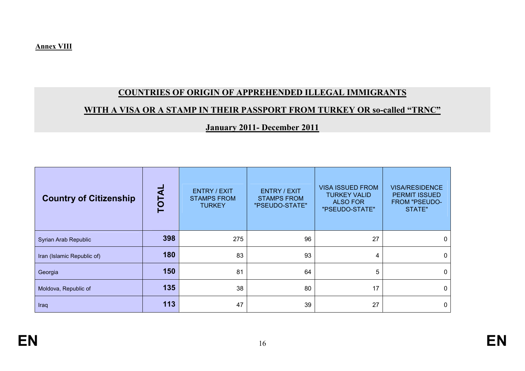## **COUNTRIES OF ORIGIN OF APPREHENDED ILLEGAL IMMIGRANTS**

# **WITH A VISA OR A STAMP IN THEIR PASSPORT FROM TURKEY OR so-called "TRNC"**

## **January 2011- December 2011**

| <b>Country of Citizenship</b> | TOTAI | <b>ENTRY / EXIT</b><br><b>STAMPS FROM</b><br><b>TURKEY</b> | ENTRY / EXIT<br><b>STAMPS FROM</b><br>"PSEUDO-STATE" | <b>VISA ISSUED FROM</b><br><b>TURKEY VALID</b><br><b>ALSO FOR</b><br>"PSEUDO-STATE" | <b>VISA/RESIDENCE</b><br><b>PERMIT ISSUED</b><br><b>FROM "PSEUDO-</b><br>STATE" |
|-------------------------------|-------|------------------------------------------------------------|------------------------------------------------------|-------------------------------------------------------------------------------------|---------------------------------------------------------------------------------|
| Syrian Arab Republic          | 398   | 275                                                        | 96                                                   | 27                                                                                  | $\mathbf{0}$                                                                    |
| Iran (Islamic Republic of)    | 180   | 83                                                         | 93                                                   | 4                                                                                   | 0                                                                               |
| Georgia                       | 150   | 81                                                         | 64                                                   | 5                                                                                   | 0                                                                               |
| Moldova, Republic of          | 135   | 38                                                         | 80                                                   | 17                                                                                  | $\Omega$                                                                        |
| Iraq                          | 113   | 47                                                         | 39                                                   | 27                                                                                  | $\mathbf{0}$                                                                    |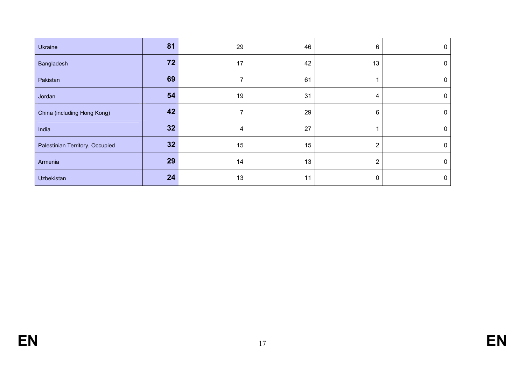| Ukraine                         | 81 | 29 | 46 | 6              | $\mathbf{0}$ |
|---------------------------------|----|----|----|----------------|--------------|
| Bangladesh                      | 72 | 17 | 42 | 13             | $\mathbf{0}$ |
| Pakistan                        | 69 |    | 61 |                | 0            |
| Jordan                          | 54 | 19 | 31 | 4              | 0            |
| China (including Hong Kong)     | 42 | 7  | 29 | 6              | $\mathbf{0}$ |
| India                           | 32 | 4  | 27 |                | $\mathbf{0}$ |
| Palestinian Territory, Occupied | 32 | 15 | 15 | $\overline{2}$ | $\Omega$     |
| Armenia                         | 29 | 14 | 13 | 2              | $\mathbf{0}$ |
| Uzbekistan                      | 24 | 13 | 11 | 0              | $\mathbf{0}$ |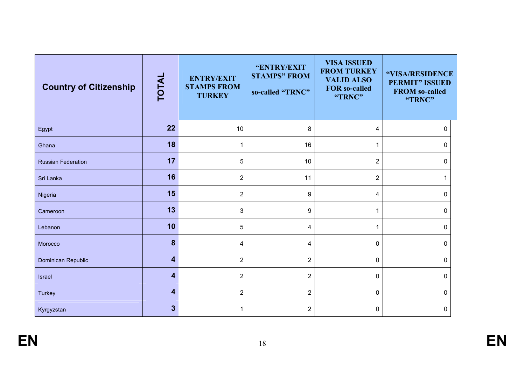| <b>Country of Citizenship</b> | <b>TOTAL</b>            | <b>ENTRY/EXIT</b><br><b>STAMPS FROM</b><br><b>TURKEY</b> | "ENTRY/EXIT<br><b>STAMPS" FROM</b><br>so-called "TRNC" | <b>VISA ISSUED</b><br><b>FROM TURKEY</b><br><b>VALID ALSO</b><br><b>FOR so-called</b><br>"TRNC" | "VISA/RESIDENCE<br><b>PERMIT" ISSUED</b><br><b>FROM so-called</b><br>"TRNC" |
|-------------------------------|-------------------------|----------------------------------------------------------|--------------------------------------------------------|-------------------------------------------------------------------------------------------------|-----------------------------------------------------------------------------|
| Egypt                         | 22                      | 10                                                       | 8                                                      | 4                                                                                               | $\Omega$                                                                    |
| Ghana                         | 18                      | 1                                                        | 16                                                     | 1                                                                                               | 0                                                                           |
| <b>Russian Federation</b>     | 17                      | 5                                                        | 10                                                     | $\overline{2}$                                                                                  | 0                                                                           |
| Sri Lanka                     | 16                      | $\overline{2}$                                           | 11                                                     | $\overline{2}$                                                                                  |                                                                             |
| Nigeria                       | 15                      | $\overline{2}$                                           | 9                                                      | 4                                                                                               | $\Omega$                                                                    |
| Cameroon                      | 13                      | 3                                                        | $\boldsymbol{9}$                                       | 1                                                                                               | 0                                                                           |
| Lebanon                       | 10                      | 5                                                        | 4                                                      | 1                                                                                               | $\Omega$                                                                    |
| Morocco                       | $\boldsymbol{8}$        | 4                                                        | 4                                                      | $\mathbf 0$                                                                                     | $\Omega$                                                                    |
| Dominican Republic            | 4                       | $\overline{2}$                                           | $\overline{2}$                                         | 0                                                                                               | 0                                                                           |
| Israel                        | 4                       | $\overline{2}$                                           | $\overline{2}$                                         | 0                                                                                               | 0                                                                           |
| <b>Turkey</b>                 | 4                       | $\overline{2}$                                           | $\overline{2}$                                         | $\Omega$                                                                                        | $\Omega$                                                                    |
| Kyrgyzstan                    | $\overline{\mathbf{3}}$ |                                                          | $\overline{2}$                                         | 0                                                                                               | 0                                                                           |